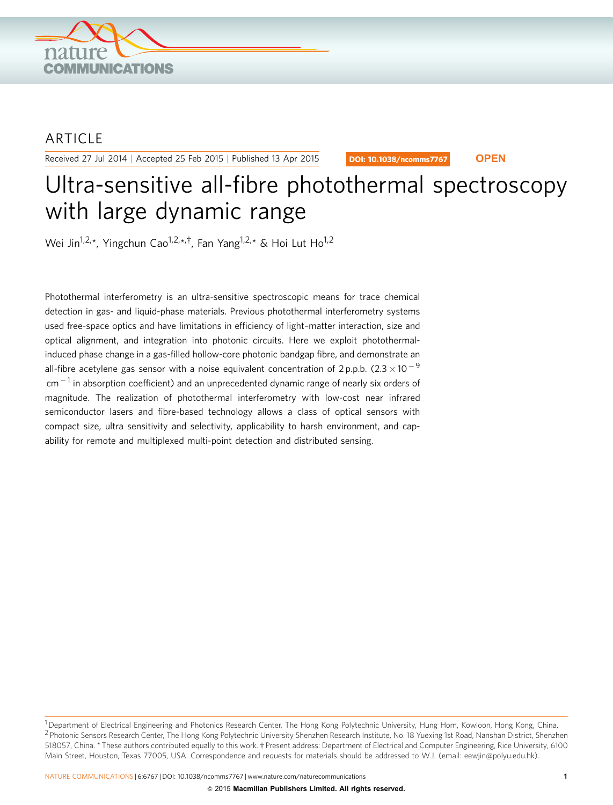

## **ARTICLE**

Received 27 Jul 2014 | Accepted 25 Feb 2015 | Published 13 Apr 2015

DOI: 10.1038/ncomms7767 **OPEN**

# Ultra-sensitive all-fibre photothermal spectroscopy with large dynamic range

Wei Jin<sup>1,2,\*</sup>, Yingchun Cao<sup>1,2,\*,†</sup>, Fan Yang<sup>1,2,\*</sup> & Hoi Lut Ho<sup>1,2</sup>

Photothermal interferometry is an ultra-sensitive spectroscopic means for trace chemical detection in gas- and liquid-phase materials. Previous photothermal interferometry systems used free-space optics and have limitations in efficiency of light–matter interaction, size and optical alignment, and integration into photonic circuits. Here we exploit photothermalinduced phase change in a gas-filled hollow-core photonic bandgap fibre, and demonstrate an all-fibre acetylene gas sensor with a noise equivalent concentration of 2 p.p.b. (2.3  $\times$  10  $^{-9}$  $cm<sup>-1</sup>$  in absorption coefficient) and an unprecedented dynamic range of nearly six orders of magnitude. The realization of photothermal interferometry with low-cost near infrared semiconductor lasers and fibre-based technology allows a class of optical sensors with compact size, ultra sensitivity and selectivity, applicability to harsh environment, and capability for remote and multiplexed multi-point detection and distributed sensing.

<sup>&</sup>lt;sup>1</sup> Department of Electrical Engineering and Photonics Research Center, The Hong Kong Polytechnic University, Hung Hom, Kowloon, Hong Kong, China. <sup>2</sup> Photonic Sensors Research Center, The Hong Kong Polytechnic University Shenzhen Research Institute, No. 18 Yuexing 1st Road, Nanshan District, Shenzhen 518057, China. \* These authors contributed equally to this work. † Present address: Department of Electrical and Computer Engineering, Rice University, 6100 Main Street, Houston, Texas 77005, USA. Correspondence and requests for materials should be addressed to W.J. (email: [eewjin@polyu.edu.hk](mailto:eewjin@polyu.edu.hk)).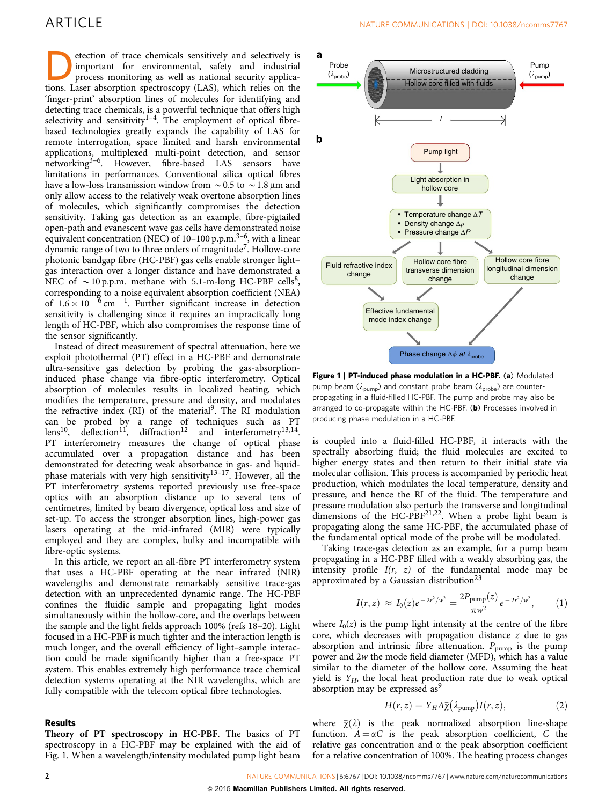etection of trace chemicals sensitively and selectively is<br>process monitoring as well as national security applica-<br>tions. Laser absorption spectroscopy (LAS) which relies on the important for environmental, safety and industrial tions. Laser absorption spectroscopy (LAS), which relies on the 'finger-print' absorption lines of molecules for identifying and detecting trace chemicals, is a powerful technique that offers high selectivity and sensitivity<sup>[1–4](#page-6-0)</sup>. The employment of optical fibrebased technologies greatly expands the capability of LAS for remote interrogation, space limited and harsh environmental applications, multiplexed multi-point detection, and sensor networking<sup>3–6</sup>. However, fibre-based LAS sensors have limitations in performances. Conventional silica optical fibres have a low-loss transmission window from  $\sim$  0.5 to  $\sim$  1.8 µm and only allow access to the relatively weak overtone absorption lines of molecules, which significantly compromises the detection sensitivity. Taking gas detection as an example, fibre-pigtailed open-path and evanescent wave gas cells have demonstrated noise equivalent concentration (NEC) of 10-100 p.p.m.<sup>3-6</sup>, with a linear dynamic range of two to three orders of magnitud[e7.](#page-6-0) Hollow-core photonic bandgap fibre (HC-PBF) gas cells enable stronger light– gas interaction over a longer distance and have demonstrated a NEC of  $\sim$  10 p.p.m. methane with 5.1-m-long HC-PBF cells<sup>8</sup>, corresponding to a noise equivalent absorption coefficient (NEA) of  $1.6 \times 10^{-6}$  cm<sup>-1</sup>. Further significant increase in detection sensitivity is challenging since it requires an impractically long length of HC-PBF, which also compromises the response time of the sensor significantly.

Instead of direct measurement of spectral attenuation, here we exploit photothermal (PT) effect in a HC-PBF and demonstrate ultra-sensitive gas detection by probing the gas-absorptioninduced phase change via fibre-optic interferometry. Optical absorption of molecules results in localized heating, which modifies the temperature, pressure and density, and modulates the refractive index (RI) of the material<sup>[9](#page-6-0)</sup>. The RI modulation can be probed by a range of techniques such as PT  $lens^{10}$ , deflection<sup>11</sup>, diffraction<sup>12</sup> and interferometry<sup>13,14</sup>. lens<sup>10</sup>, deflection<sup>11'</sup>, diffraction<sup>12</sup> PT interferometry measures the change of optical phase accumulated over a propagation distance and has been demonstrated for detecting weak absorbance in gas- and liquidphase materials with very high sensitivity<sup>13-17</sup>. However, all the PT interferometry systems reported previously use free-space optics with an absorption distance up to several tens of centimetres, limited by beam divergence, optical loss and size of set-up. To access the stronger absorption lines, high-power gas lasers operating at the mid-infrared (MIR) were typically employed and they are complex, bulky and incompatible with fibre-optic systems.

In this article, we report an all-fibre PT interferometry system that uses a HC-PBF operating at the near infrared (NIR) wavelengths and demonstrate remarkably sensitive trace-gas detection with an unprecedented dynamic range. The HC-PBF confines the fluidic sample and propagating light modes simultaneously within the hollow-core, and the overlaps between the sample and the light fields approach 100% ([refs 18–20](#page-6-0)). Light focused in a HC-PBF is much tighter and the interaction length is much longer, and the overall efficiency of light–sample interaction could be made significantly higher than a free-space PT system. This enables extremely high performance trace chemical detection systems operating at the NIR wavelengths, which are fully compatible with the telecom optical fibre technologies.

#### Results

Theory of PT spectroscopy in HC-PBF. The basics of PT spectroscopy in a HC-PBF may be explained with the aid of Fig. 1. When a wavelength/intensity modulated pump light beam



Figure 1 | PT-induced phase modulation in a HC-PBF. (a) Modulated pump beam ( $\lambda_{\text{pump}}$ ) and constant probe beam ( $\lambda_{\text{probe}}$ ) are counterpropagating in a fluid-filled HC-PBF. The pump and probe may also be arranged to co-propagate within the HC-PBF. (b) Processes involved in producing phase modulation in a HC-PBF.

is coupled into a fluid-filled HC-PBF, it interacts with the spectrally absorbing fluid; the fluid molecules are excited to higher energy states and then return to their initial state via molecular collision. This process is accompanied by periodic heat production, which modulates the local temperature, density and pressure, and hence the RI of the fluid. The temperature and pressure modulation also perturb the transverse and longitudinal dimensions of the HC-PBF $^{21,22}$ . When a probe light beam is propagating along the same HC-PBF, the accumulated phase of the fundamental optical mode of the probe will be modulated.

Taking trace-gas detection as an example, for a pump beam propagating in a HC-PBF filled with a weakly absorbing gas, the intensity profile  $I(r, z)$  of the fundamental mode may be approximated by a Gaussian distribution<sup>[23](#page-7-0)</sup>

$$
I(r,z) \approx I_0(z)e^{-2r^2/w^2} = \frac{2P_{\text{pump}}(z)}{\pi w^2}e^{-2r^2/w^2}, \qquad (1)
$$

where  $I_0(z)$  is the pump light intensity at the centre of the fibre core, which decreases with propagation distance z due to gas absorption and intrinsic fibre attenuation.  $P_{\text{pump}}$  is the pump power and 2w the mode field diameter (MFD), which has a value similar to the diameter of the hollow core. Assuming the heat yield is  $Y_H$ , the local heat production rate due to weak optical absorption may be expressed as<sup>[9](#page-6-0)</sup>

$$
H(r,z) = Y_H A \bar{\chi} (\lambda_{\text{pump}}) I(r,z), \qquad (2)
$$

where  $\bar{\chi}(\lambda)$  is the peak normalized absorption line-shape function.  $A = \alpha C$  is the peak absorption coefficient, C the relative gas concentration and  $\alpha$  the peak absorption coefficient for a relative concentration of 100%. The heating process changes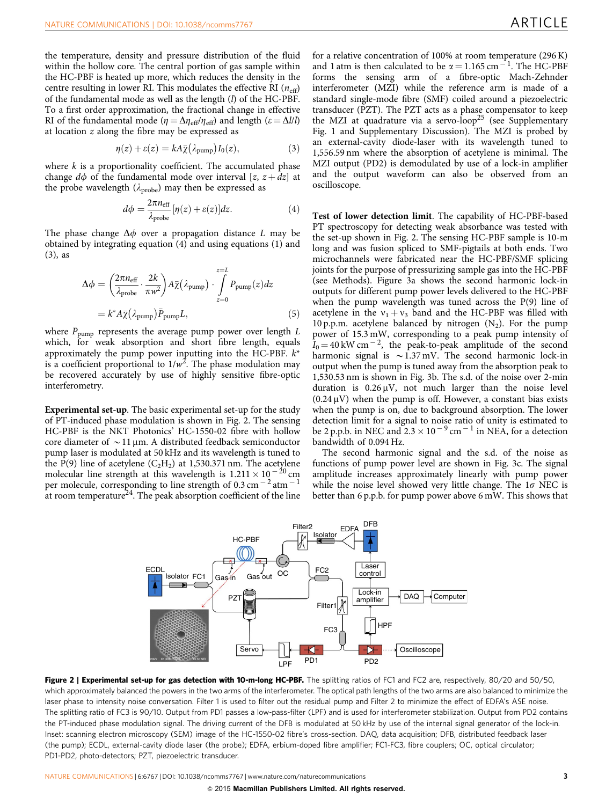<span id="page-2-0"></span>the temperature, density and pressure distribution of the fluid within the hollow core. The central portion of gas sample within the HC-PBF is heated up more, which reduces the density in the centre resulting in lower RI. This modulates the effective RI  $(n_{\text{eff}})$ of the fundamental mode as well as the length (l) of the HC-PBF. To a first order approximation, the fractional change in effective RI of the fundamental mode ( $\eta = \Delta \eta_{\text{eff}} / \eta_{\text{eff}}$ ) and length ( $\varepsilon = \Delta l/l$ ) at location z along the fibre may be expressed as

$$
\eta(z) + \varepsilon(z) = kA\overline{\chi}(\lambda_{\text{pump}})I_0(z), \tag{3}
$$

where  $k$  is a proportionality coefficient. The accumulated phase change d $\phi$  of the fundamental mode over interval [z,  $z + dz$ ] at the probe wavelength ( $\lambda_{\rm probe}$ ) may then be expressed as

$$
d\phi = \frac{2\pi n_{\text{eff}}}{\lambda_{\text{probe}}} [\eta(z) + \varepsilon(z)] dz.
$$
 (4)

The phase change  $\Delta \phi$  over a propagation distance L may be obtained by integrating equation (4) and using equations (1) and (3), as

$$
\Delta \phi = \left(\frac{2\pi n_{\text{eff}}}{\lambda_{\text{probe}}}\cdot \frac{2k}{\pi w^2}\right) A \bar{\chi} (\lambda_{\text{pump}}) \cdot \int_{z=0}^{z=L} P_{\text{pump}}(z) dz
$$

$$
= k^* A \bar{\chi} (\lambda_{\text{pump}}) \bar{P}_{\text{pump}} L, \tag{5}
$$

where  $\bar{P}_{\text{pump}}$  represents the average pump power over length  $L$ which, for weak absorption and short fibre length, equals approximately the pump power inputting into the HC-PBF.  $k^*$ is a coefficient proportional to  $1/w^2$ . The phase modulation may be recovered accurately by use of highly sensitive fibre-optic interferometry.

Experimental set-up. The basic experimental set-up for the study of PT-induced phase modulation is shown in Fig. 2. The sensing HC-PBF is the NKT Photonics' HC-1550-02 fibre with hollow core diameter of  $\sim$  11 µm. A distributed feedback semiconductor pump laser is modulated at 50 kHz and its wavelength is tuned to the P(9) line of acetylene  $(C_2H_2)$  at 1,530.371 nm. The acetylene molecular line strength at this wavelength is  $1.211 \times 10^{-20}$  cm per molecule, corresponding to line strength of  $0.3 \text{ cm}^{-2}$  atm<sup>-1</sup> at room temperature<sup>[24](#page-7-0)</sup>. The peak absorption coefficient of the line

for a relative concentration of 100% at room temperature (296 K) and 1 atm is then calculated to be  $\alpha = 1.165$  cm<sup>-1</sup>. The HC-PBF forms the sensing arm of a fibre-optic Mach-Zehnder interferometer (MZI) while the reference arm is made of a standard single-mode fibre (SMF) coiled around a piezoelectric transducer (PZT). The PZT acts as a phase compensator to keep the MZI at quadrature via a servo-loop<sup>[25](#page-7-0)</sup> (see Supplementary Fig. 1 and Supplementary Discussion). The MZI is probed by an external-cavity diode-laser with its wavelength tuned to 1,556.59 nm where the absorption of acetylene is minimal. The MZI output (PD2) is demodulated by use of a lock-in amplifier and the output waveform can also be observed from an oscilloscope.

Test of lower detection limit. The capability of HC-PBF-based PT spectroscopy for detecting weak absorbance was tested with the set-up shown in Fig. 2. The sensing HC-PBF sample is 10-m long and was fusion spliced to SMF-pigtails at both ends. Two microchannels were fabricated near the HC-PBF/SMF splicing joints for the purpose of pressurizing sample gas into the HC-PBF (see Methods). [Figure 3a](#page-3-0) shows the second harmonic lock-in outputs for different pump power levels delivered to the HC-PBF when the pump wavelength was tuned across the P(9) line of acetylene in the  $v_1 + v_3$  band and the HC-PBF was filled with 10 p.p.m. acetylene balanced by nitrogen  $(N_2)$ . For the pump power of 15.3 mW, corresponding to a peak pump intensity of  $I_0 = 40$  kW cm<sup>-2</sup>, the peak-to-peak amplitude of the second harmonic signal is  $\sim$  1.37 mV. The second harmonic lock-in output when the pump is tuned away from the absorption peak to 1,530.53 nm is shown in [Fig. 3b](#page-3-0). The s.d. of the noise over 2-min duration is  $0.26 \mu V$ , not much larger than the noise level  $(0.24 \,\mu\text{V})$  when the pump is off. However, a constant bias exists when the pump is on, due to background absorption. The lower detection limit for a signal to noise ratio of unity is estimated to be 2 p.p.b. in NEC and  $2.3 \times 10^{-9}$  cm<sup>-1</sup> in NEA, for a detection bandwidth of 0.094 Hz.

The second harmonic signal and the s.d. of the noise as functions of pump power level are shown in [Fig. 3c](#page-3-0). The signal amplitude increases approximately linearly with pump power while the noise level showed very little change. The  $1\sigma$  NEC is better than 6 p.p.b. for pump power above 6 mW. This shows that



Figure 2 | Experimental set-up for gas detection with 10-m-long HC-PBF. The splitting ratios of FC1 and FC2 are, respectively, 80/20 and 50/50, which approximately balanced the powers in the two arms of the interferometer. The optical path lengths of the two arms are also balanced to minimize the laser phase to intensity noise conversation. Filter 1 is used to filter out the residual pump and Filter 2 to minimize the effect of EDFA's ASE noise. The splitting ratio of FC3 is 90/10. Output from PD1 passes a low-pass-filter (LPF) and is used for interferometer stabilization. Output from PD2 contains the PT-induced phase modulation signal. The driving current of the DFB is modulated at 50 kHz by use of the internal signal generator of the lock-in. Inset: scanning electron microscopy (SEM) image of the HC-1550-02 fibre's cross-section. DAQ, data acquisition; DFB, distributed feedback laser (the pump); ECDL, external-cavity diode laser (the probe); EDFA, erbium-doped fibre amplifier; FC1-FC3, fibre couplers; OC, optical circulator; PD1-PD2, photo-detectors; PZT, piezoelectric transducer.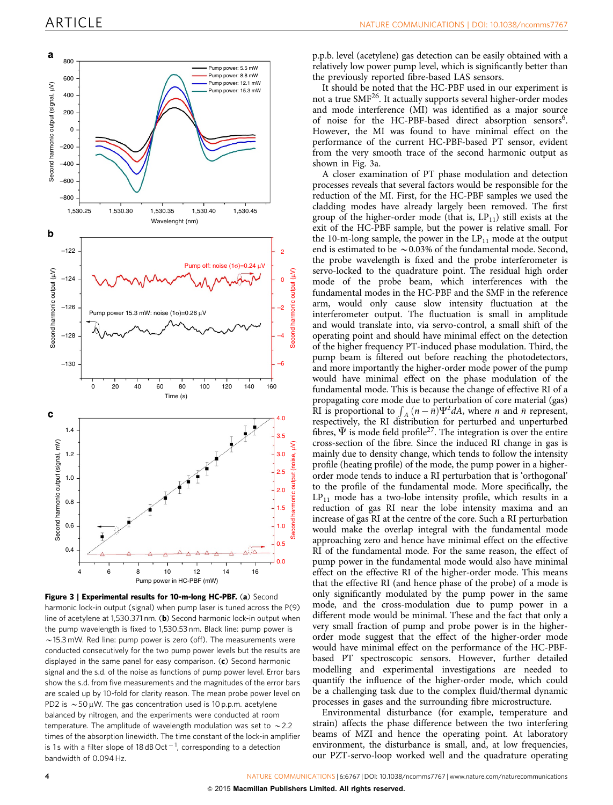<span id="page-3-0"></span>

Figure 3 | Experimental results for 10-m-long HC-PBF. (a) Second harmonic lock-in output (signal) when pump laser is tuned across the P(9) line of acetylene at 1,530.371 nm. (b) Second harmonic lock-in output when the pump wavelength is fixed to 1,530.53 nm. Black line: pump power is  $\sim$  15.3 mW. Red line: pump power is zero (off). The measurements were conducted consecutively for the two pump power levels but the results are displayed in the same panel for easy comparison.  $(c)$  Second harmonic signal and the s.d. of the noise as functions of pump power level. Error bars show the s.d. from five measurements and the magnitudes of the error bars are scaled up by 10-fold for clarity reason. The mean probe power level on PD2 is  $\sim$  50 µW. The gas concentration used is 10 p.p.m. acetylene balanced by nitrogen, and the experiments were conducted at room temperature. The amplitude of wavelength modulation was set to  $\sim$  2.2 times of the absorption linewidth. The time constant of the lock-in amplifier is 1s with a filter slope of 18 dB Oct  $^{-1}$ , corresponding to a detection bandwidth of 0.094 Hz.

p.p.b. level (acetylene) gas detection can be easily obtained with a relatively low power pump level, which is significantly better than the previously reported fibre-based LAS sensors.

It should be noted that the HC-PBF used in our experiment is not a true SMF<sup>[26](#page-7-0)</sup>. It actually supports several higher-order modes and mode interference (MI) was identified as a major source of noise for the HC-PBF-based direct absorption sensors<sup>6</sup>. However, the MI was found to have minimal effect on the performance of the current HC-PBF-based PT sensor, evident from the very smooth trace of the second harmonic output as shown in Fig. 3a.

A closer examination of PT phase modulation and detection processes reveals that several factors would be responsible for the reduction of the MI. First, for the HC-PBF samples we used the cladding modes have already largely been removed. The first group of the higher-order mode (that is,  $LP_{11}$ ) still exists at the exit of the HC-PBF sample, but the power is relative small. For the 10-m-long sample, the power in the  $LP_{11}$  mode at the output end is estimated to be  $\sim$  0.03% of the fundamental mode. Second, the probe wavelength is fixed and the probe interferometer is servo-locked to the quadrature point. The residual high order mode of the probe beam, which interferences with the fundamental modes in the HC-PBF and the SMF in the reference arm, would only cause slow intensity fluctuation at the interferometer output. The fluctuation is small in amplitude and would translate into, via servo-control, a small shift of the operating point and should have minimal effect on the detection of the higher frequency PT-induced phase modulation. Third, the pump beam is filtered out before reaching the photodetectors, and more importantly the higher-order mode power of the pump would have minimal effect on the phase modulation of the fundamental mode. This is because the change of effective RI of a propagating core mode due to perturbation of core material (gas) RI is proportional to  $\int_A (n - \bar{n}) \bar{\Psi}^2 dA$ , where *n* and  $\bar{n}$  represent, respectively, the RI distribution for perturbed and unperturbed fibres,  $\Psi$  is mode field profile<sup>[27](#page-7-0)</sup>. The integration is over the entire cross-section of the fibre. Since the induced RI change in gas is mainly due to density change, which tends to follow the intensity profile (heating profile) of the mode, the pump power in a higherorder mode tends to induce a RI perturbation that is 'orthogonal' to the profile of the fundamental mode. More specifically, the  $LP_{11}$  mode has a two-lobe intensity profile, which results in a reduction of gas RI near the lobe intensity maxima and an increase of gas RI at the centre of the core. Such a RI perturbation would make the overlap integral with the fundamental mode approaching zero and hence have minimal effect on the effective RI of the fundamental mode. For the same reason, the effect of pump power in the fundamental mode would also have minimal effect on the effective RI of the higher-order mode. This means that the effective RI (and hence phase of the probe) of a mode is only significantly modulated by the pump power in the same mode, and the cross-modulation due to pump power in a different mode would be minimal. These and the fact that only a very small fraction of pump and probe power is in the higherorder mode suggest that the effect of the higher-order mode would have minimal effect on the performance of the HC-PBFbased PT spectroscopic sensors. However, further detailed modelling and experimental investigations are needed to quantify the influence of the higher-order mode, which could be a challenging task due to the complex fluid/thermal dynamic processes in gases and the surrounding fibre microstructure.

Environmental disturbance (for example, temperature and strain) affects the phase difference between the two interfering beams of MZI and hence the operating point. At laboratory environment, the disturbance is small, and, at low frequencies, our PZT-servo-loop worked well and the quadrature operating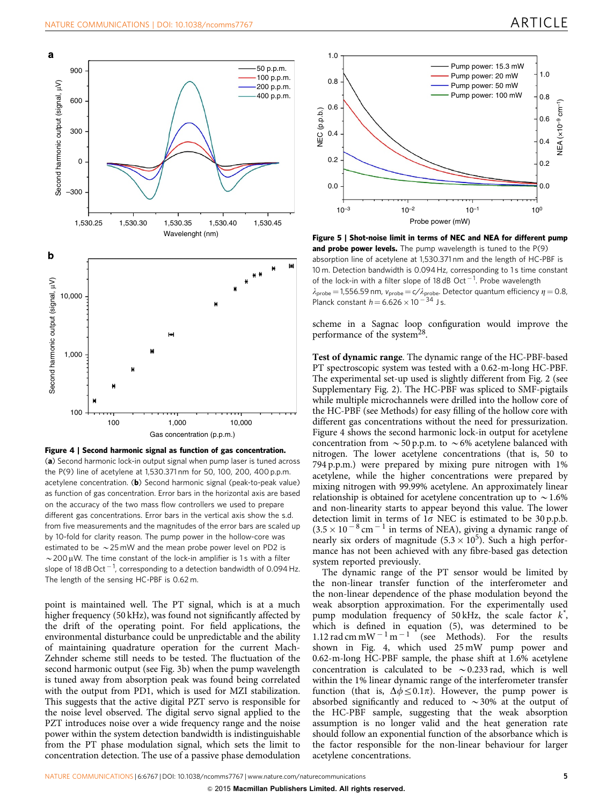<span id="page-4-0"></span>

Figure 4 | Second harmonic signal as function of gas concentration. (a) Second harmonic lock-in output signal when pump laser is tuned across the P(9) line of acetylene at 1,530.371 nm for 50, 100, 200, 400 p.p.m. acetylene concentration. (b) Second harmonic signal (peak-to-peak value) as function of gas concentration. Error bars in the horizontal axis are based on the accuracy of the two mass flow controllers we used to prepare different gas concentrations. Error bars in the vertical axis show the s.d. from five measurements and the magnitudes of the error bars are scaled up by 10-fold for clarity reason. The pump power in the hollow-core was estimated to be  $\sim$  25 mW and the mean probe power level on PD2 is  $\sim$  200 µW. The time constant of the lock-in amplifier is 1s with a filter slope of 18 dB Oct  $^{-1}$ , corresponding to a detection bandwidth of 0.094 Hz. The length of the sensing HC-PBF is 0.62 m.

point is maintained well. The PT signal, which is at a much higher frequency (50 kHz), was found not significantly affected by the drift of the operating point. For field applications, the environmental disturbance could be unpredictable and the ability of maintaining quadrature operation for the current Mach-Zehnder scheme still needs to be tested. The fluctuation of the second harmonic output (see [Fig. 3b](#page-3-0)) when the pump wavelength is tuned away from absorption peak was found being correlated with the output from PD1, which is used for MZI stabilization. This suggests that the active digital PZT servo is responsible for the noise level observed. The digital servo signal applied to the PZT introduces noise over a wide frequency range and the noise power within the system detection bandwidth is indistinguishable from the PT phase modulation signal, which sets the limit to concentration detection. The use of a passive phase demodulation



Figure 5 | Shot-noise limit in terms of NEC and NEA for different pump and probe power levels. The pump wavelength is tuned to the  $P(9)$ absorption line of acetylene at 1,530.371 nm and the length of HC-PBF is 10 m. Detection bandwidth is 0.094 Hz, corresponding to 1 s time constant of the lock-in with a filter slope of 18 dB Oct<sup>-1</sup>. Probe wavelength  $\lambda_{\text{probe}} = 1,556.59$  nm,  $v_{\text{probe}} = c/\lambda_{\text{probe}}$ . Detector quantum efficiency  $\eta = 0.8$ , Planck constant  $h = 6.626 \times 10^{-34}$  Js.

scheme in a Sagnac loop configuration would improve the performance of the system<sup>[28](#page-7-0)</sup>.

Test of dynamic range. The dynamic range of the HC-PBF-based PT spectroscopic system was tested with a 0.62-m-long HC-PBF. The experimental set-up used is slightly different from [Fig. 2](#page-2-0) (see Supplementary Fig. 2). The HC-PBF was spliced to SMF-pigtails while multiple microchannels were drilled into the hollow core of the HC-PBF (see Methods) for easy filling of the hollow core with different gas concentrations without the need for pressurization. Figure 4 shows the second harmonic lock-in output for acetylene concentration from  $\sim$  50 p.p.m. to  $\sim$  6% acetylene balanced with nitrogen. The lower acetylene concentrations (that is, 50 to 794 p.p.m.) were prepared by mixing pure nitrogen with 1% acetylene, while the higher concentrations were prepared by mixing nitrogen with 99.99% acetylene. An approximately linear relationship is obtained for acetylene concentration up to  $\sim$  1.6% and non-linearity starts to appear beyond this value. The lower detection limit in terms of  $1\sigma$  NEC is estimated to be 30 p.p.b.  $(3.5 \times 10^{-8} \text{ cm}^{-1}$  in terms of NEA), giving a dynamic range of nearly six orders of magnitude  $(5.3 \times 10^5)$ . Such a high performance has not been achieved with any fibre-based gas detection system reported previously.

The dynamic range of the PT sensor would be limited by the non-linear transfer function of the interferometer and the non-linear dependence of the phase modulation beyond the weak absorption approximation. For the experimentally used pump modulation frequency of 50 kHz, the scale factor  $k^*$ , which is defined in equation (5), was determined to be 1.12 rad cm mW<sup>-1</sup> m<sup>-1</sup> (see Methods). For the results shown in Fig. 4, which used 25 mW pump power and 0.62-m-long HC-PBF sample, the phase shift at 1.6% acetylene concentration is calculated to be  $\sim$  0.233 rad, which is well within the 1% linear dynamic range of the interferometer transfer function (that is,  $\Delta \phi \leq 0.1\pi$ ). However, the pump power is absorbed significantly and reduced to  $\sim$ 30% at the output of the HC-PBF sample, suggesting that the weak absorption assumption is no longer valid and the heat generation rate should follow an exponential function of the absorbance which is the factor responsible for the non-linear behaviour for larger acetylene concentrations.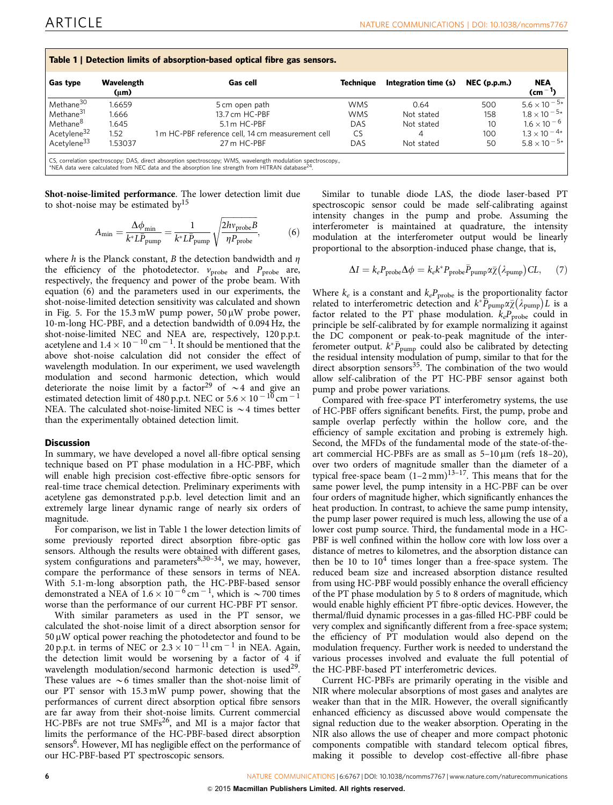| Table 1   Detection limits of absorption-based optical fibre gas sensors.<br>Integration time (s)<br>$NEC$ (p.p.m.)<br><b>Gas type</b><br>Wavelength<br>Techniaue<br>Gas cell |           |                                                  |            |            |     |                       |
|-------------------------------------------------------------------------------------------------------------------------------------------------------------------------------|-----------|--------------------------------------------------|------------|------------|-----|-----------------------|
|                                                                                                                                                                               | $(\mu m)$ |                                                  |            |            |     | $\text{(cm}^{-1})$    |
| Methane <sup>30</sup>                                                                                                                                                         | 1.6659    | 5 cm open path                                   | <b>WMS</b> | 0.64       | 500 | $5.6 \times 10^{-5*}$ |
| Methane <sup>31</sup>                                                                                                                                                         | 1.666     | 13.7 cm HC-PBF                                   | <b>WMS</b> | Not stated | 158 | $1.8 \times 10^{-5*}$ |
| Methane <sup>8</sup>                                                                                                                                                          | 1.645     | 5.1 m HC-PBF                                     | DAS        | Not stated | 10  | $1.6 \times 10^{-6}$  |
| Acetylene <sup>32</sup>                                                                                                                                                       | 1.52      | 1m HC-PBF reference cell, 14 cm measurement cell | CS         | 4          | 100 | $1.3 \times 10^{-4*}$ |
| Acetylene <sup>33</sup>                                                                                                                                                       | 1.53037   | 27 m HC-PBF                                      | DAS        | Not stated | 50  | $5.8 \times 10^{-5*}$ |

CS, correlation spectroscopy; DAS, direct absorption spectroscopy; WMS, wavelength modulation spectroscopy.,<br>\*NEA data were calculated from NEC data and the absorption line strength from HITRAN database<sup>[24](#page-7-0)</sup>.

Shot-noise-limited performance. The lower detection limit due to shot-noise may be estimated  $by$ <sup>15</sup>

$$
A_{\min} = \frac{\Delta \phi_{\min}}{k^* L \bar{P}_{\text{pump}}} = \frac{1}{k^* L \bar{P}_{\text{pump}}} \sqrt{\frac{2h v_{\text{probe}} B}{\eta P_{\text{probe}}}},\tag{6}
$$

where h is the Planck constant, B the detection bandwidth and  $\eta$ the efficiency of the photodetector.  $v_{\text{probe}}$  and  $P_{\text{probe}}$  are, respectively, the frequency and power of the probe beam. With equation (6) and the parameters used in our experiments, the shot-noise-limited detection sensitivity was calculated and shown in [Fig. 5.](#page-4-0) For the  $15.3 \text{ mW}$  pump power,  $50 \mu \text{W}$  probe power, 10-m-long HC-PBF, and a detection bandwidth of 0.094 Hz, the shot-noise-limited NEC and NEA are, respectively, 120 p.p.t. acetylene and  $1.4 \times 10^{-10}$  cm  $^{-1}$ . It should be mentioned that the above shot-noise calculation did not consider the effect of wavelength modulation. In our experiment, we used wavelength modulation and second harmonic detection, which would deteriorate the noise limit by a factor<sup>[29](#page-7-0)</sup> of  $\sim$ 4 and give an estimated detection limit of 480 p.p.t. NEC or 5.6  $\times$  10  $^{-10}$  cm  $^{-1}$ NEA. The calculated shot-noise-limited NEC is  $\sim$  4 times better than the experimentally obtained detection limit.

#### **Discussion**

In summary, we have developed a novel all-fibre optical sensing technique based on PT phase modulation in a HC-PBF, which will enable high precision cost-effective fibre-optic sensors for real-time trace chemical detection. Preliminary experiments with acetylene gas demonstrated p.p.b. level detection limit and an extremely large linear dynamic range of nearly six orders of magnitude.

For comparison, we list in Table 1 the lower detection limits of some previously reported direct absorption fibre-optic gas sensors. Although the results were obtained with different gases, system configurations and parameters $8,30-34$ , we may, however, compare the performance of these sensors in terms of NEA. With 5.1-m-long absorption path, the HC-PBF-based sensor demonstrated a NEA of  $1.6 \times 10^{-6}$  cm<sup>-1</sup>, which is  $\sim$  700 times worse than the performance of our current HC-PBF PT sensor.

With similar parameters as used in the PT sensor, we calculated the shot-noise limit of a direct absorption sensor for  $50 \mu$ W optical power reaching the photodetector and found to be 20 p.p.t. in terms of NEC or  $2.3 \times 10^{-11}$  cm<sup>-1</sup> in NEA. Again, the detection limit would be worsening by a factor of 4 if wavelength modulation/second harmonic detection is used<sup>29</sup>. These values are  $\sim$  6 times smaller than the shot-noise limit of our PT sensor with 15.3 mW pump power, showing that the performances of current direct absorption optical fibre sensors are far away from their shot-noise limits. Current commercial HC-PBFs are not true SMFs<sup>26</sup>, and MI is a major factor that limits the performance of the HC-PBF-based direct absorption sensors<sup>6</sup>. However, MI has negligible effect on the performance of our HC-PBF-based PT spectroscopic sensors.

Similar to tunable diode LAS, the diode laser-based PT spectroscopic sensor could be made self-calibrating against intensity changes in the pump and probe. Assuming the interferometer is maintained at quadrature, the intensity modulation at the interferometer output would be linearly proportional to the absorption-induced phase change, that is,

$$
\Delta I = k_e P_{\text{probe}} \Delta \phi = k_e k^* P_{\text{probe}} \bar{P}_{\text{pump}} \alpha \bar{\chi} (\lambda_{\text{pump}}) CL, \quad (7)
$$

Where  $k_e$  is a constant and  $k_eP_{\text{probe}}$  is the proportionality factor where  $\kappa_e$  is a constant and  $\kappa_e$  probe is the proportionally factor<br>related to interferometric detection and  $k^* \overline{P}_{\text{pump}} \propto \overline{\chi}(\lambda_{\text{pump}})L$  is a factor related to the PT phase modulation.  $k_eP_{\text{probe}}$  could in principle be self-calibrated by for example normalizing it against the DC component or peak-to-peak magnitude of the interferometer output.  $k^* \overline{P}_{\text{pump}}$  could also be calibrated by detecting the residual intensity modulation of pump, similar to that for the direct absorption sensors $35$ . The combination of the two would allow self-calibration of the PT HC-PBF sensor against both pump and probe power variations.

Compared with free-space PT interferometry systems, the use of HC-PBF offers significant benefits. First, the pump, probe and sample overlap perfectly within the hollow core, and the efficiency of sample excitation and probing is extremely high. Second, the MFDs of the fundamental mode of the state-of-theart commercial HC-PBFs are as small as  $5-10 \,\mu m$  (refs 18-20), over two orders of magnitude smaller than the diameter of a typical free-space beam  $(1-2 \text{ mm})^{13-17}$ . This means that for the same power level, the pump intensity in a HC-PBF can be over four orders of magnitude higher, which significantly enhances the heat production. In contrast, to achieve the same pump intensity, the pump laser power required is much less, allowing the use of a lower cost pump source. Third, the fundamental mode in a HC-PBF is well confined within the hollow core with low loss over a distance of metres to kilometres, and the absorption distance can then be 10 to  $10<sup>4</sup>$  times longer than a free-space system. The reduced beam size and increased absorption distance resulted from using HC-PBF would possibly enhance the overall efficiency of the PT phase modulation by 5 to 8 orders of magnitude, which would enable highly efficient PT fibre-optic devices. However, the thermal/fluid dynamic processes in a gas-filled HC-PBF could be very complex and significantly different from a free-space system; the efficiency of PT modulation would also depend on the modulation frequency. Further work is needed to understand the various processes involved and evaluate the full potential of the HC-PBF-based PT interferometric devices.

Current HC-PBFs are primarily operating in the visible and NIR where molecular absorptions of most gases and analytes are weaker than that in the MIR. However, the overall significantly enhanced efficiency as discussed above would compensate the signal reduction due to the weaker absorption. Operating in the NIR also allows the use of cheaper and more compact photonic components compatible with standard telecom optical fibres, making it possible to develop cost-effective all-fibre phase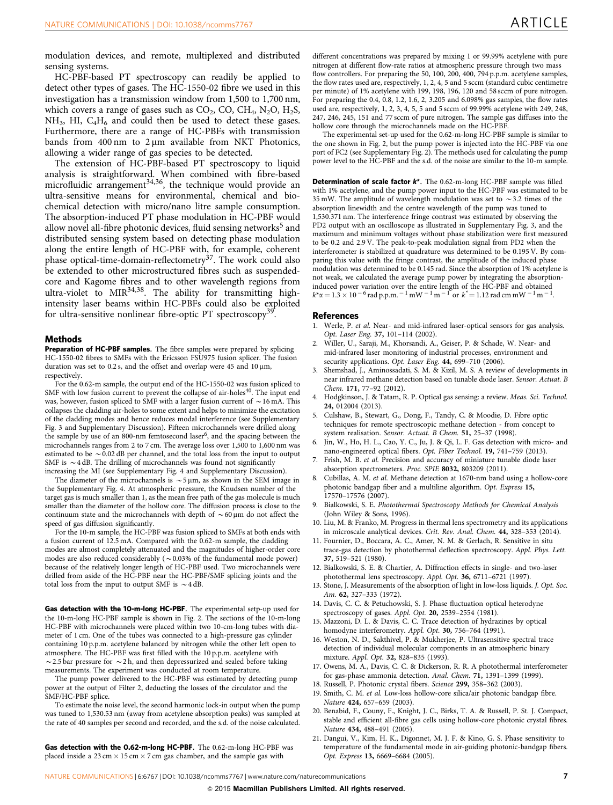<span id="page-6-0"></span>modulation devices, and remote, multiplexed and distributed sensing systems.

HC-PBF-based PT spectroscopy can readily be applied to detect other types of gases. The HC-1550-02 fibre we used in this investigation has a transmission window from 1,500 to 1,700 nm, which covers a range of gases such as  $CO<sub>2</sub>$ ,  $CO$ ,  $CH<sub>4</sub>$ , N<sub>2</sub>O, H<sub>2</sub>S,  $NH<sub>3</sub>$ , HI,  $C<sub>4</sub>H<sub>6</sub>$  and could then be used to detect these gases. Furthermore, there are a range of HC-PBFs with transmission bands from  $400 \text{ nm}$  to  $2 \mu \text{m}$  available from NKT Photonics, allowing a wider range of gas species to be detected.

The extension of HC-PBF-based PT spectroscopy to liquid analysis is straightforward. When combined with fibre-based microfluidic arrangement $34,36$ , the technique would provide an ultra-sensitive means for environmental, chemical and biochemical detection with micro/nano litre sample consumption. The absorption-induced PT phase modulation in HC-PBF would allow novel all-fibre photonic devices, fluid sensing networks<sup>5</sup> and distributed sensing system based on detecting phase modulation along the entire length of HC-PBF with, for example, coherent phase optical-time-domain-reflectometry<sup>[37](#page-7-0)</sup>. The work could also be extended to other microstructured fibres such as suspendedcore and Kagome fibres and to other wavelength regions from ultra-violet to MIR<sup>34,38</sup>. The ability for transmitting highintensity laser beams within HC-PBFs could also be exploited for ultra-sensitive nonlinear fibre-optic PT spectroscopy<sup>39</sup>.

#### Methods

Preparation of HC-PBF samples. The fibre samples were prepared by splicing HC-1550-02 fibres to SMFs with the Ericsson FSU975 fusion splicer. The fusion duration was set to 0.2 s, and the offset and overlap were 45 and  $10 \mu m$ , respectively.

For the 0.62-m sample, the output end of the HC-1550-02 was fusion spliced to SMF with low fusion current to prevent the collapse of air-holes<sup>[40](#page-7-0)</sup>. The input end was, however, fusion spliced to SMF with a larger fusion current of  $\sim$  16 mA. This collapses the cladding air-holes to some extent and helps to minimize the excitation of the cladding modes and hence reduces modal interference (see Supplementary Fig. 3 and Supplementary Discussion). Fifteen microchannels were drilled along the sample by use of an 800-nm femtosecond laser<sup>6</sup>, and the spacing between the microchannels ranges from 2 to 7 cm. The average loss over 1,500 to 1,600 nm was estimated to be  $\sim$  0.02 dB per channel, and the total loss from the input to output SMF is  $\sim$  4 dB. The drilling of microchannels was found not significantly increasing the MI (see Supplementary Fig. 4 and Supplementary Discussion).

The diameter of the microchannels is  $\sim$  5  $\mu$ m, as shown in the SEM image in the Supplementary Fig. 4. At atmospheric pressure, the Knudsen number of the target gas is much smaller than 1, as the mean free path of the gas molecule is much smaller than the diameter of the hollow core. The diffusion process is close to the continuum state and the microchannels with depth of  $\sim 60 \mu$ m do not affect the speed of gas diffusion significantly.

For the 10-m sample, the HC-PBF was fusion spliced to SMFs at both ends with a fusion current of 12.5 mA. Compared with the 0.62-m sample, the cladding modes are almost completely attenuated and the magnitudes of higher-order core modes are also reduced considerably ( $\sim$  0.03% of the fundamental mode power) because of the relatively longer length of HC-PBF used. Two microchannels were drilled from aside of the HC-PBF near the HC-PBF/SMF splicing joints and the total loss from the input to output SMF is  $\sim$  4 dB.

Gas detection with the 10-m-long HC-PBF. The experimental setp-up used for the 10-m-long HC-PBF sample is shown in [Fig. 2.](#page-2-0) The sections of the 10-m-long HC-PBF with microchannels were placed within two 10-cm-long tubes with diameter of 1 cm. One of the tubes was connected to a high-pressure gas cylinder containing 10 p.p.m. acetylene balanced by nitrogen while the other left open to atmosphere. The HC-PBF was first filled with the 10 p.p.m. acetylene with  $\sim$  2.5 bar pressure for  $\sim$  2 h, and then depressurized and sealed before taking measurements. The experiment was conducted at room temperature.

The pump power delivered to the HC-PBF was estimated by detecting pump power at the output of Filter 2, deducting the losses of the circulator and the SMF/HC-PBF splice.

To estimate the noise level, the second harmonic lock-in output when the pump was tuned to 1,530.53 nm (away from acetylene absorption peaks) was sampled at the rate of 40 samples per second and recorded, and the s.d. of the noise calculated.

Gas detection with the 0.62-m-long HC-PBF. The 0.62-m-long HC-PBF was placed inside a  $23 \text{ cm} \times 15 \text{ cm} \times 7 \text{ cm}$  gas chamber, and the sample gas with

different concentrations was prepared by mixing 1 or 99.99% acetylene with pure nitrogen at different flow-rate ratios at atmospheric pressure through two mass flow controllers. For preparing the 50, 100, 200, 400, 794 p.p.m. acetylene samples, the flow rates used are, respectively, 1, 2, 4, 5 and 5 sccm (standard cubic centimetre per minute) of 1% acetylene with 199, 198, 196, 120 and 58 sccm of pure nitrogen. For preparing the 0.4, 0.8, 1.2, 1.6, 2, 3.205 and 6.098% gas samples, the flow rates used are, respectively, 1, 2, 3, 4, 5, 5 and 5 sccm of 99.99% acetylene with 249, 248, 247, 246, 245, 151 and 77 sccm of pure nitrogen. The sample gas diffuses into the hollow core through the microchannels made on the HC-PBF.

The experimental set-up used for the 0.62-m-long HC-PBF sample is similar to the one shown in [Fig. 2](#page-2-0), but the pump power is injected into the HC-PBF via one port of FC2 (see Supplementary Fig. 2). The methods used for calculating the pump power level to the HC-PBF and the s.d. of the noise are similar to the 10-m sample.

Determination of scale factor  $k^*$ . The 0.62-m-long HC-PBF sample was filled with 1% acetylene, and the pump power input to the HC-PBF was estimated to be 35 mW. The amplitude of wavelength modulation was set to  $\sim$  3.2 times of the absorption linewidth and the centre wavelength of the pump was tuned to 1,530.371 nm. The interference fringe contrast was estimated by observing the PD2 output with an oscilloscope as illustrated in Supplementary Fig. 3, and the maximum and minimum voltages without phase stabilization were first measured to be 0.2 and 2.9 V. The peak-to-peak modulation signal from PD2 when the interferometer is stabilized at quadrature was determined to be 0.195 V. By comparing this value with the fringe contrast, the amplitude of the induced phase modulation was determined to be 0.145 rad. Since the absorption of 1% acetylene is not weak, we calculated the average pump power by integrating the absorptioninduced power variation over the entire length of the HC-PBF and obtained  $k^* \alpha = 1.3 \times 10^{-6}$  rad p.p.m.  $^{-1}$  mW  $^{-1}$  m  $^{-1}$  or  $k^* = 1.12$  rad cm mW  $^{-1}$  m  $^{-1}$ .

#### References

- 1. Werle, P. et al. Near- and mid-infrared laser-optical sensors for gas analysis. Opt. Laser Eng. 37, 101–114 (2002).
- 2. Willer, U., Saraji, M., Khorsandi, A., Geiser, P. & Schade, W. Near- and mid-infrared laser monitoring of industrial processes, environment and security applications. Opt. Laser Eng. 44, 699-710 (2006).
- 3. Shemshad, J., Aminossadati, S. M. & Kizil, M. S. A review of developments in near infrared methane detection based on tunable diode laser. Sensor. Actuat. B Chem. 171, 77–92 (2012).
- 4. Hodgkinson, J. & Tatam, R. P. Optical gas sensing: a review. Meas. Sci. Technol. 24, 012004 (2013).
- 5. Culshaw, B., Stewart, G., Dong, F., Tandy, C. & Moodie, D. Fibre optic techniques for remote spectroscopic methane detection - from concept to system realisation. Sensor. Actuat. B Chem. 51, 25–37 (1998).
- 6. Jin, W., Ho, H. L., Cao, Y. C., Ju, J. & Qi, L. F. Gas detection with micro- and nano-engineered optical fibers. Opt. Fiber Technol. 19, 741–759 (2013).
- 7. Frish, M. B. et al. Precision and accuracy of miniature tunable diode laser absorption spectrometers. Proc. SPIE 8032, 803209 (2011).
- 8. Cubillas, A. M. et al. Methane detection at 1670-nm band using a hollow-core photonic bandgap fiber and a multiline algorithm. Opt. Express 15, 17570–17576 (2007).
- 9. Bialkowski, S. E. Photothermal Spectroscopy Methods for Chemical Analysis (John Wiley & Sons, 1996).
- 10. Liu, M. & Franko, M. Progress in thermal lens spectrometry and its applications in microscale analytical devices. Crit. Rev. Anal. Chem. 44, 328–353 (2014).
- 11. Fournier, D., Boccara, A. C., Amer, N. M. & Gerlach, R. Sensitive in situ trace-gas detection by photothermal deflection spectroscopy. Appl. Phys. Lett. 37, 519–521 (1980).
- 12. Bialkowski, S. E. & Chartier, A. Diffraction effects in single- and two-laser photothermal lens spectroscopy. Appl. Opt. 36, 6711–6721 (1997).
- 13. Stone, J. Measurements of the absorption of light in low-loss liquids. J. Opt. Soc. Am. 62, 327–333 (1972).
- 14. Davis, C. C. & Petuchowski, S. J. Phase fluctuation optical heterodyne spectroscopy of gases. Appl. Opt. 20, 2539–2554 (1981).
- 15. Mazzoni, D. L. & Davis, C. C. Trace detection of hydrazines by optical homodyne interferometry. Appl. Opt. 30, 756-764 (1991).
- 16. Weston, N. D., Sakthivel, P. & Mukherjee, P. Ultrasensitive spectral trace detection of individual molecular components in an atmospheric binary mixture. Appl. Opt. 32, 828–835 (1993).
- 17. Owens, M. A., Davis, C. C. & Dickerson, R. R. A photothermal interferometer for gas-phase ammonia detection. Anal. Chem. 71, 1391–1399 (1999).
- 18. Russell, P. Photonic crystal fibers. Science 299, 358–362 (2003). 19. Smith, C. M. et al. Low-loss hollow-core silica/air photonic bandgap fibre. Nature 424, 657–659 (2003).
- 20. Benabid, F., Couny, F., Knight, J. C., Birks, T. A. & Russell, P. St. J. Compact, stable and efficient all-fibre gas cells using hollow-core photonic crystal fibres. Nature 434, 488–491 (2005).
- 21. Dangui, V., Kim, H. K., Digonnet, M. J. F. & Kino, G. S. Phase sensitivity to temperature of the fundamental mode in air-guiding photonic-bandgap fibers. Opt. Express 13, 6669–6684 (2005).

NATURE COMMUNICATIONS | 6:6767 | DOI: 10.1038/ncomms7767 | [www.nature.com/naturecommunications](http://www.nature.com/naturecommunications) 7